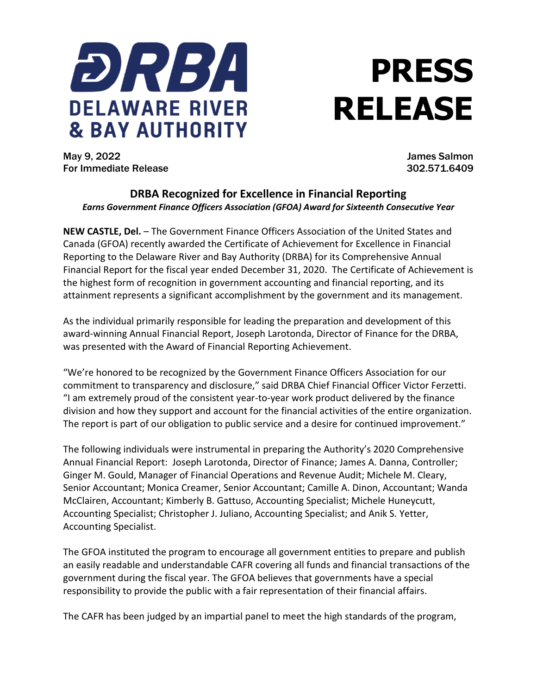

## **PRESS RELEASE**

May 9, 2022 James Salmon For Immediate Release 302.571.6409

## **DRBA Recognized for Excellence in Financial Reporting** *Earns Government Finance Officers Association (GFOA) Award for Sixteenth Consecutive Year*

**NEW CASTLE, Del.** – The Government Finance Officers Association of the United States and Canada (GFOA) recently awarded the Certificate of Achievement for Excellence in Financial Reporting to the Delaware River and Bay Authority (DRBA) for its Comprehensive Annual Financial Report for the fiscal year ended December 31, 2020. The Certificate of Achievement is the highest form of recognition in government accounting and financial reporting, and its attainment represents a significant accomplishment by the government and its management.

As the individual primarily responsible for leading the preparation and development of this award-winning Annual Financial Report, Joseph Larotonda, Director of Finance for the DRBA, was presented with the Award of Financial Reporting Achievement.

"We're honored to be recognized by the Government Finance Officers Association for our commitment to transparency and disclosure," said DRBA Chief Financial Officer Victor Ferzetti. "I am extremely proud of the consistent year-to-year work product delivered by the finance division and how they support and account for the financial activities of the entire organization. The report is part of our obligation to public service and a desire for continued improvement."

The following individuals were instrumental in preparing the Authority's 2020 Comprehensive Annual Financial Report: Joseph Larotonda, Director of Finance; James A. Danna, Controller; Ginger M. Gould, Manager of Financial Operations and Revenue Audit; Michele M. Cleary, Senior Accountant; Monica Creamer, Senior Accountant; Camille A. Dinon, Accountant; Wanda McClairen, Accountant; Kimberly B. Gattuso, Accounting Specialist; Michele Huneycutt, Accounting Specialist; Christopher J. Juliano, Accounting Specialist; and Anik S. Yetter, Accounting Specialist.

The GFOA instituted the program to encourage all government entities to prepare and publish an easily readable and understandable CAFR covering all funds and financial transactions of the government during the fiscal year. The GFOA believes that governments have a special responsibility to provide the public with a fair representation of their financial affairs.

The CAFR has been judged by an impartial panel to meet the high standards of the program,